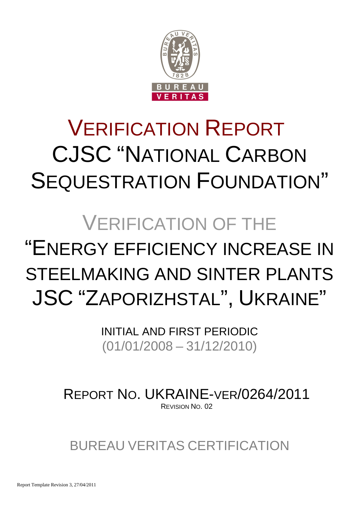

# VERIFICATION REPORT CJSC "NATIONAL CARBON SEQUESTRATION FOUNDATION"

# VERIFICATION OF THE "ENERGY EFFICIENCY INCREASE IN STEELMAKING AND SINTER PLANTS JSC "ZAPORIZHSTAL", UKRAINE"

INITIAL AND FIRST PERIODIC (01/01/2008 – 31/12/2010)

REPORT NO. UKRAINE-VER/0264/2011 REVISION NO. 02

BUREAU VERITAS CERTIFICATION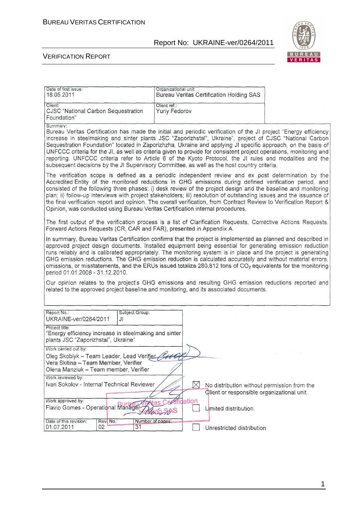

| Date of first issue:<br>18.05.2011                                                                                                                                                                                                                                                                                                                                                                                                                                                                                                                                                                                                                                                         | Organizational unit:                 |          | <b>Bureau Veritas Certification Holding SAS</b> |  |                                             |
|--------------------------------------------------------------------------------------------------------------------------------------------------------------------------------------------------------------------------------------------------------------------------------------------------------------------------------------------------------------------------------------------------------------------------------------------------------------------------------------------------------------------------------------------------------------------------------------------------------------------------------------------------------------------------------------------|--------------------------------------|----------|-------------------------------------------------|--|---------------------------------------------|
| Client:<br>CJSC "National Carbon Sequestration<br>Foundation"                                                                                                                                                                                                                                                                                                                                                                                                                                                                                                                                                                                                                              | Client ref.:<br><b>Yuriy Fedorov</b> |          |                                                 |  |                                             |
| Summary:<br>Bureau Veritas Certification has made the initial and periodic verification of the JI project "Energy efficiency<br>increase in steelmaking and sinter plants JSC "Zaporizhstal", Ukraine", project of CJSC "National Carbon"<br>Sequestration Foundation" located in Zaporizhzha, Ukraine and applying JI specific approach, on the basis of<br>UNFCCC criteria for the JI, as well as criteria given to provide for consistent project operations, monitoring and<br>reporting. UNFCCC criteria refer to Article 6 of the Kyoto Protocol, the JI rules and modalities and the<br>subsequent decisions by the JI Supervisory Committee, as well as the host country criteria. |                                      |          |                                                 |  |                                             |
| The verification scope is defined as a periodic independent review and ex post determination by the<br>Accredited Entity of the monitored reductions in GHG emissions during defined verification period, and<br>consisted of the following three phases: i) desk review of the project design and the baseline and monitoring<br>plan; ii) follow-up interviews with project stakeholders; iii) resolution of outstanding issues and the issuance of<br>the final verification report and opinion. The overall verification, from Contract Review to Verification Report &<br>Opinion, was conducted using Bureau Veritas Certification internal procedures.                              |                                      |          |                                                 |  |                                             |
| The first output of the verification process is a list of Clarification Requests, Corrective Actions Requests,<br>Forward Actions Requests (CR, CAR and FAR), presented in Appendix A.                                                                                                                                                                                                                                                                                                                                                                                                                                                                                                     |                                      |          |                                                 |  |                                             |
| In summary, Bureau Veritas Certification confirms that the project is implemented as planned and described in<br>approved project design documents. Installed equipment being essential for generating emission reduction<br>runs reliably and is calibrated appropriately. The monitoring system is in place and the project is generating<br>GHG emission reductions. The GHG emission reduction is calculated accurately and without material errors,<br>omissions, or misstatements, and the ERUs issued totalize 280,812 tons of CO <sub>2</sub> equivalents for the monitoring<br>period 01.01.2008 - 31.12.2010.                                                                    |                                      |          |                                                 |  |                                             |
| Our opinion relates to the project's GHG emissions and resulting GHG emission reductions reported and<br>related to the approved project baseline and monitoring, and its associated documents.                                                                                                                                                                                                                                                                                                                                                                                                                                                                                            |                                      |          |                                                 |  |                                             |
| Report No.:<br>Subject Group:                                                                                                                                                                                                                                                                                                                                                                                                                                                                                                                                                                                                                                                              |                                      |          |                                                 |  |                                             |
| UKRAINE-ver/0264/2011<br>JI                                                                                                                                                                                                                                                                                                                                                                                                                                                                                                                                                                                                                                                                |                                      |          |                                                 |  |                                             |
| Project title:<br>"Energy efficiency increase in steelmaking and sinter<br>plants JSC "Zaporizhstal", Ukraine"                                                                                                                                                                                                                                                                                                                                                                                                                                                                                                                                                                             |                                      |          |                                                 |  |                                             |
| Work carried out by:                                                                                                                                                                                                                                                                                                                                                                                                                                                                                                                                                                                                                                                                       |                                      |          |                                                 |  |                                             |
| Oleg Skoblyk - Team Leader, Lead Verifier<br>Vera Skitina - Team Member, Verifier<br>Olena Manziuk - Team member, Verifier                                                                                                                                                                                                                                                                                                                                                                                                                                                                                                                                                                 |                                      |          |                                                 |  |                                             |
| Work reviewed by:                                                                                                                                                                                                                                                                                                                                                                                                                                                                                                                                                                                                                                                                          |                                      |          |                                                 |  |                                             |
| Ivan Sokolov - Internal Technical Reviewer                                                                                                                                                                                                                                                                                                                                                                                                                                                                                                                                                                                                                                                 |                                      | $\times$ | Client or responsible organizational unit       |  | No distribution without permission from the |
| Work approved by:                                                                                                                                                                                                                                                                                                                                                                                                                                                                                                                                                                                                                                                                          |                                      | ication  |                                                 |  |                                             |
| Flavio Gomes - Operational Manager                                                                                                                                                                                                                                                                                                                                                                                                                                                                                                                                                                                                                                                         | RODO SOAS                            |          | Limited distribution                            |  |                                             |
| Date of this revision:<br>Rev. No.:<br>Number of pages:<br>01.07.2011<br>02<br>31                                                                                                                                                                                                                                                                                                                                                                                                                                                                                                                                                                                                          |                                      |          | Unrestricted distribution                       |  |                                             |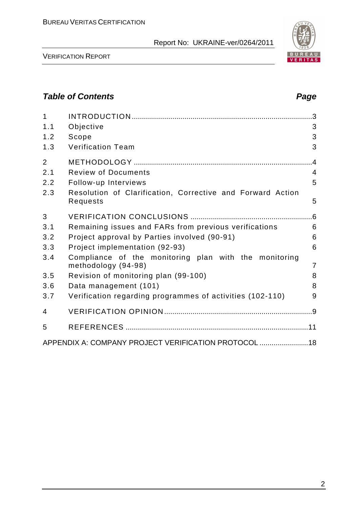

VERIFICATION REPORT

## **Table of Contents Page 2018**

| $\mathbf{1}$   |                                                                              |                |
|----------------|------------------------------------------------------------------------------|----------------|
| 1.1            | Objective                                                                    | 3              |
| 1.2            | Scope                                                                        | 3              |
| 1.3            | <b>Verification Team</b>                                                     | 3              |
| $\overline{2}$ |                                                                              | .4             |
| 2.1            | <b>Review of Documents</b>                                                   | $\overline{4}$ |
| 2.2            | Follow-up Interviews                                                         | 5              |
| 2.3            | Resolution of Clarification, Corrective and Forward Action<br>Requests       | 5              |
| 3              |                                                                              |                |
| 3.1            | Remaining issues and FARs from previous verifications                        | 6              |
| 3.2            | Project approval by Parties involved (90-91)                                 | 6              |
| 3.3            | Project implementation (92-93)                                               | 6              |
| 3.4            | Compliance of the monitoring plan with the monitoring<br>methodology (94-98) | $\overline{7}$ |
| 3.5            | Revision of monitoring plan (99-100)                                         | 8              |
| 3.6            | Data management (101)                                                        | 8              |
| 3.7            | Verification regarding programmes of activities (102-110)                    | 9              |
| 4              |                                                                              |                |
| 5              |                                                                              |                |
|                | APPENDIX A: COMPANY PROJECT VERIFICATION PROTOCOL  18                        |                |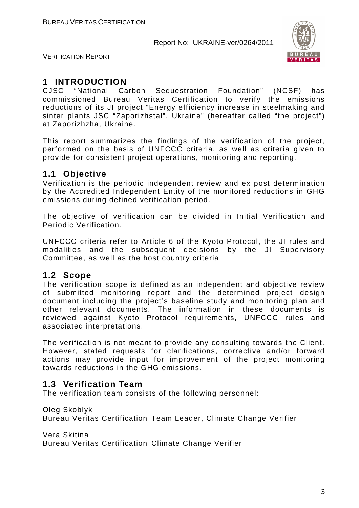

VERIFICATION REPORT

## **1 INTRODUCTION**

CJSC "National Carbon Sequestration Foundation" (NCSF) has commissioned Bureau Veritas Certification to verify the emissions reductions of its JI project "Energy efficiency increase in steelmaking and sinter plants JSC "Zaporizhstal", Ukraine" (hereafter called "the project") at Zaporizhzha, Ukraine.

This report summarizes the findings of the verification of the project, performed on the basis of UNFCCC criteria, as well as criteria given to provide for consistent project operations, monitoring and reporting.

## **1.1 Objective**

Verification is the periodic independent review and ex post determination by the Accredited Independent Entity of the monitored reductions in GHG emissions during defined verification period.

The objective of verification can be divided in Initial Verification and Periodic Verification.

UNFCCC criteria refer to Article 6 of the Kyoto Protocol, the JI rules and modalities and the subsequent decisions by the JI Supervisory Committee, as well as the host country criteria.

## **1.2 Scope**

The verification scope is defined as an independent and objective review of submitted monitoring report and the determined project design document including the project's baseline study and monitoring plan and other relevant documents. The information in these documents is reviewed against Kyoto Protocol requirements, UNFCCC rules and associated interpretations.

The verification is not meant to provide any consulting towards the Client. However, stated requests for clarifications, corrective and/or forward actions may provide input for improvement of the project monitoring towards reductions in the GHG emissions.

## **1.3 Verification Team**

The verification team consists of the following personnel:

Oleg Skoblyk

Bureau Veritas Certification Team Leader, Climate Change Verifier

Vera Skitina

Bureau Veritas Certification Climate Change Verifier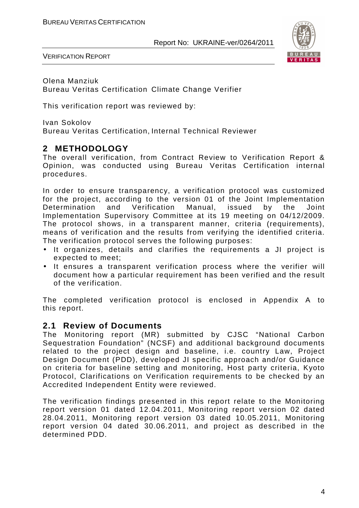

VERIFICATION REPORT

Olena Manziuk Bureau Veritas Certification Climate Change Verifier

This verification report was reviewed by:

Ivan Sokolov Bureau Veritas Certification, Internal Technical Reviewer

## **2 METHODOLOGY**

The overall verification, from Contract Review to Verification Report & Opinion, was conducted using Bureau Veritas Certification internal procedures.

In order to ensure transparency, a verification protocol was customized for the project, according to the version 01 of the Joint Implementation Determination and Verification Manual, issued by the Joint Implementation Supervisory Committee at its 19 meeting on 04/12/2009. The protocol shows, in a transparent manner, criteria (requirements), means of verification and the results from verifying the identified criteria. The verification protocol serves the following purposes:

- It organizes, details and clarifies the requirements a JI project is expected to meet;
- It ensures a transparent verification process where the verifier will document how a particular requirement has been verified and the result of the verification.

The completed verification protocol is enclosed in Appendix A to this report.

## **2.1 Review of Documents**

The Monitoring report (MR) submitted by CJSC "National Carbon Sequestration Foundation" (NCSF) and additional background documents related to the project design and baseline, i.e. country Law, Project Design Document (PDD), developed JI specific approach and/or Guidance on criteria for baseline setting and monitoring, Host party criteria, Kyoto Protocol, Clarifications on Verification requirements to be checked by an Accredited Independent Entity were reviewed.

The verification findings presented in this report relate to the Monitoring report version 01 dated 12.04.2011, Monitoring report version 02 dated 28.04.2011, Monitoring report version 03 dated 10.05.2011, Monitoring report version 04 dated 30.06.2011, and project as described in the determined PDD.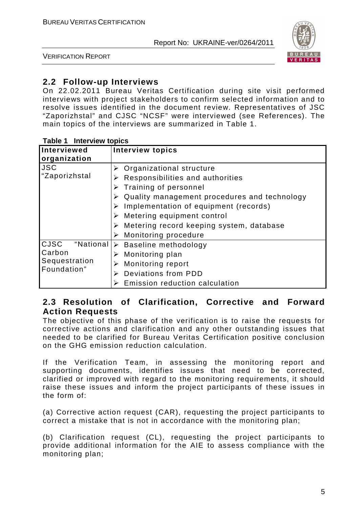

VERIFICATION REPORT

## **2.2 Follow-up Interviews**

On 22.02.2011 Bureau Veritas Certification during site visit performed interviews with project stakeholders to confirm selected information and to resolve issues identified in the document review. Representatives of JSC "Zaporizhstal" and CJSC "NCSF" were interviewed (see References). The main topics of the interviews are summarized in Table 1.

| <b>Interviewed</b><br>organization                          | <b>Interview topics</b>                                                                                                                                                                                                                                                                                                 |
|-------------------------------------------------------------|-------------------------------------------------------------------------------------------------------------------------------------------------------------------------------------------------------------------------------------------------------------------------------------------------------------------------|
| <b>JSC</b><br>"Zaporizhstal                                 | Organizational structure<br>➤<br>Responsibilities and authorities<br>Training of personnel<br>Quality management procedures and technology<br>Implementation of equipment (records)<br>$\triangleright$ Metering equipment control<br>Metering record keeping system, database<br>$\triangleright$ Monitoring procedure |
| CJSC<br>"National<br>Carbon<br>Sequestration<br>Foundation" | $\triangleright$ Baseline methodology<br>Monitoring plan<br>➤<br><b>Monitoring report</b><br>➤<br>Deviations from PDD<br>➤<br>Emission reduction calculation                                                                                                                                                            |

#### **Table 1 Interview topics**

## **2.3 Resolution of Clarification, Corrective and Forward Action Requests**

The objective of this phase of the verification is to raise the requests for corrective actions and clarification and any other outstanding issues that needed to be clarified for Bureau Veritas Certification positive conclusion on the GHG emission reduction calculation.

If the Verification Team, in assessing the monitoring report and supporting documents, identifies issues that need to be corrected, clarified or improved with regard to the monitoring requirements, it should raise these issues and inform the project participants of these issues in the form of:

(a) Corrective action request (CAR), requesting the project participants to correct a mistake that is not in accordance with the monitoring plan;

(b) Clarification request (CL), requesting the project participants to provide additional information for the AIE to assess compliance with the monitoring plan;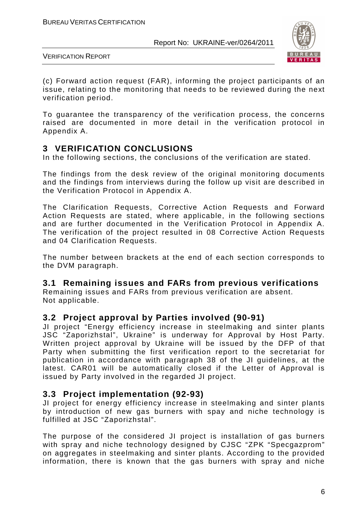

VERIFICATION REPORT

(c) Forward action request (FAR), informing the project participants of an issue, relating to the monitoring that needs to be reviewed during the next verification period.

To guarantee the transparency of the verification process, the concerns raised are documented in more detail in the verification protocol in Appendix A.

## **3 VERIFICATION CONCLUSIONS**

In the following sections, the conclusions of the verification are stated.

The findings from the desk review of the original monitoring documents and the findings from interviews during the follow up visit are described in the Verification Protocol in Appendix A.

The Clarification Requests, Corrective Action Requests and Forward Action Requests are stated, where applicable, in the following sections and are further documented in the Verification Protocol in Appendix A. The verification of the project resulted in 08 Corrective Action Requests and 04 Clarification Requests.

The number between brackets at the end of each section corresponds to the DVM paragraph.

## **3.1 Remaining issues and FARs from previous verifications**

Remaining issues and FARs from previous verification are absent. Not applicable.

## **3.2 Project approval by Parties involved (90-91)**

JI project "Energy efficiency increase in steelmaking and sinter plants JSC "Zaporizhstal", Ukraine" is underway for Approval by Host Party. Written project approval by Ukraine will be issued by the DFP of that Party when submitting the first verification report to the secretariat for publication in accordance with paragraph 38 of the JI guidelines, at the latest. CAR01 will be automatically closed if the Letter of Approval is issued by Party involved in the regarded JI project.

## **3.3 Project implementation (92-93)**

JI project for energy efficiency increase in steelmaking and sinter plants by introduction of new gas burners with spay and niche technology is fulfilled at JSC "Zaporizhstal".

The purpose of the considered JI project is installation of gas burners with spray and niche technology designed by CJSC "ZPK "Specgazprom" on aggregates in steelmaking and sinter plants. According to the provided information, there is known that the gas burners with spray and niche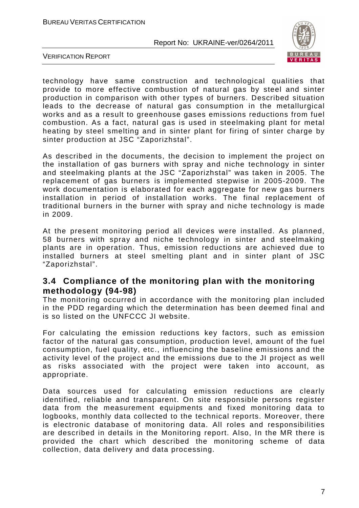

VERIFICATION REPORT

technology have same construction and technological qualities that provide to more effective combustion of natural gas by steel and sinter production in comparison with other types of burners. Described situation leads to the decrease of natural gas consumption in the metallurgical works and as a result to greenhouse gases emissions reductions from fuel combustion. As a fact, natural gas is used in steelmaking plant for metal heating by steel smelting and in sinter plant for firing of sinter charge by sinter production at JSC "Zaporizhstal".

As described in the documents, the decision to implement the project on the installation of gas burners with spray and niche technology in sinter and steelmaking plants at the JSC "Zaporizhstal" was taken in 2005. The replacement of gas burners is implemented stepwise in 2005-2009. The work documentation is elaborated for each aggregate for new gas burners installation in period of installation works. The final replacement of traditional burners in the burner with spray and niche technology is made in 2009.

At the present monitoring period all devices were installed. As planned, 58 burners with spray and niche technology in sinter and steelmaking plants are in operation. Thus, emission reductions are achieved due to installed burners at steel smelting plant and in sinter plant of JSC "Zaporizhstal".

## **3.4 Compliance of the monitoring plan with the monitoring methodology (94-98)**

The monitoring occurred in accordance with the monitoring plan included in the PDD regarding which the determination has been deemed final and is so listed on the UNFCCC JI website.

For calculating the emission reductions key factors, such as emission factor of the natural gas consumption, production level, amount of the fuel consumption, fuel quality, etc., influencing the baseline emissions and the activity level of the project and the emissions due to the JI project as well as risks associated with the project were taken into account, as appropriate.

Data sources used for calculating emission reductions are clearly identified, reliable and transparent. On site responsible persons register data from the measurement equipments and fixed monitoring data to logbooks, monthly data collected to the technical reports. Moreover, there is electronic database of monitoring data. All roles and responsibilities are described in details in the Monitoring report. Also, In the MR there is provided the chart which described the monitoring scheme of data collection, data delivery and data processing.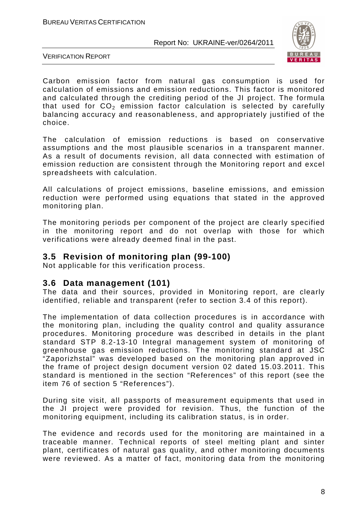

VERIFICATION REPORT

Carbon emission factor from natural gas consumption is used for calculation of emissions and emission reductions. This factor is monitored and calculated through the crediting period of the JI project. The formula that used for  $CO<sub>2</sub>$  emission factor calculation is selected by carefully balancing accuracy and reasonableness, and appropriately justified of the choice.

The calculation of emission reductions is based on conservative assumptions and the most plausible scenarios in a transparent manner. As a result of documents revision, all data connected with estimation of emission reduction are consistent through the Monitoring report and excel spreadsheets with calculation.

All calculations of project emissions, baseline emissions, and emission reduction were performed using equations that stated in the approved monitoring plan.

The monitoring periods per component of the project are clearly specified in the monitoring report and do not overlap with those for which verifications were already deemed final in the past.

## **3.5 Revision of monitoring plan (99-100)**

Not applicable for this verification process.

## **3.6 Data management (101)**

The data and their sources, provided in Monitoring report, are clearly identified, reliable and transparent (refer to section 3.4 of this report).

The implementation of data collection procedures is in accordance with the monitoring plan, including the quality control and quality assurance procedures. Monitoring procedure was described in details in the plant standard STP 8.2-13-10 Integral management system of monitoring of greenhouse gas emission reductions. The monitoring standard at JSC "Zaporizhstal" was developed based on the monitoring plan approved in the frame of project design document version 02 dated 15.03.2011. This standard is mentioned in the section "References" of this report (see the item 76 of section 5 "References").

During site visit, all passports of measurement equipments that used in the JI project were provided for revision. Thus, the function of the monitoring equipment, including its calibration status, is in order.

The evidence and records used for the monitoring are maintained in a traceable manner. Technical reports of steel melting plant and sinter plant, certificates of natural gas quality, and other monitoring documents were reviewed. As a matter of fact, monitoring data from the monitoring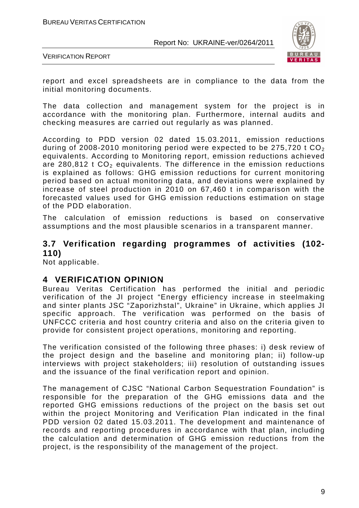

VERIFICATION REPORT

report and excel spreadsheets are in compliance to the data from the initial monitoring documents.

The data collection and management system for the project is in accordance with the monitoring plan. Furthermore, internal audits and checking measures are carried out regularly as was planned.

According to PDD version 02 dated 15.03.2011, emission reductions during of 2008-2010 monitoring period were expected to be 275,720 t  $CO<sub>2</sub>$ equivalents. According to Monitoring report, emission reductions achieved are  $280.812$  t  $CO<sub>2</sub>$  equivalents. The difference in the emission reductions is explained as follows: GHG emission reductions for current monitoring period based on actual monitoring data, and deviations were explained by increase of steel production in 2010 on 67,460 t in comparison with the forecasted values used for GHG emission reductions estimation on stage of the PDD elaboration.

The calculation of emission reductions is based on conservative assumptions and the most plausible scenarios in a transparent manner.

## **3.7 Verification regarding programmes of activities (102- 110)**

Not applicable.

## **4 VERIFICATION OPINION**

Bureau Veritas Certification has performed the initial and periodic verification of the JI project "Energy efficiency increase in steelmaking and sinter plants JSC "Zaporizhstal", Ukraine" in Ukraine, which applies JI specific approach. The verification was performed on the basis of UNFCCC criteria and host country criteria and also on the criteria given to provide for consistent project operations, monitoring and reporting.

The verification consisted of the following three phases: i) desk review of the project design and the baseline and monitoring plan; ii) follow-up interviews with project stakeholders; iii) resolution of outstanding issues and the issuance of the final verification report and opinion.

The management of CJSC "National Carbon Sequestration Foundation" is responsible for the preparation of the GHG emissions data and the reported GHG emissions reductions of the project on the basis set out within the project Monitoring and Verification Plan indicated in the final PDD version 02 dated 15.03.2011. The development and maintenance of records and reporting procedures in accordance with that plan, including the calculation and determination of GHG emission reductions from the project, is the responsibility of the management of the project.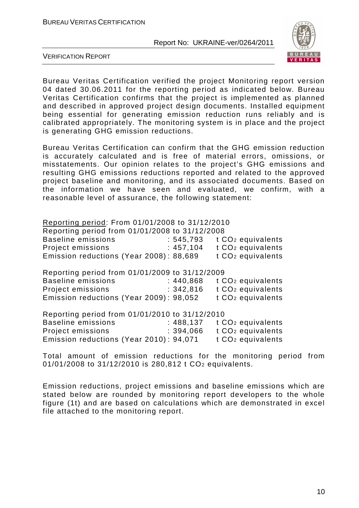

VERIFICATION REPORT

Bureau Veritas Certification verified the project Monitoring report version 04 dated 30.06.2011 for the reporting period as indicated below. Bureau Veritas Certification confirms that the project is implemented as planned and described in approved project design documents. Installed equipment being essential for generating emission reduction runs reliably and is calibrated appropriately. The monitoring system is in place and the project is generating GHG emission reductions.

Bureau Veritas Certification can confirm that the GHG emission reduction is accurately calculated and is free of material errors, omissions, or misstatements. Our opinion relates to the project's GHG emissions and resulting GHG emissions reductions reported and related to the approved project baseline and monitoring, and its associated documents. Based on the information we have seen and evaluated, we confirm, with a reasonable level of assurance, the following statement:

| Reporting period: From 01/01/2008 to 31/12/2010<br>Reporting period from 01/01/2008 to 31/12/2008<br><b>Baseline emissions</b><br>Project emissions<br>Emission reductions (Year 2008): 88,689 | : 545,793<br>: 457,104  | t CO <sub>2</sub> equivalents<br>t CO <sub>2</sub> equivalents<br>t CO <sub>2</sub> equivalents |
|------------------------------------------------------------------------------------------------------------------------------------------------------------------------------------------------|-------------------------|-------------------------------------------------------------------------------------------------|
| Reporting period from 01/01/2009 to 31/12/2009<br><b>Baseline emissions</b><br>Project emissions<br>Emission reductions (Year 2009): 98,052                                                    | : 440,868<br>: 342, 816 | t CO <sub>2</sub> equivalents<br>t CO <sub>2</sub> equivalents<br>t CO <sub>2</sub> equivalents |
| Reporting period from 01/01/2010 to 31/12/2010<br><b>Baseline emissions</b><br>Project emissions<br>Emission reductions (Year 2010): 94,071                                                    | : 488, 137<br>: 394.066 | t CO <sub>2</sub> equivalents<br>t CO <sub>2</sub> equivalents<br>t CO <sub>2</sub> equivalents |

Total amount of emission reductions for the monitoring period from 01/01/2008 to 31/12/2010 is 280,812 t CO2 equivalents.

Emission reductions, project emissions and baseline emissions which are stated below are rounded by monitoring report developers to the whole figure (1t) and are based on calculations which are demonstrated in excel file attached to the monitoring report.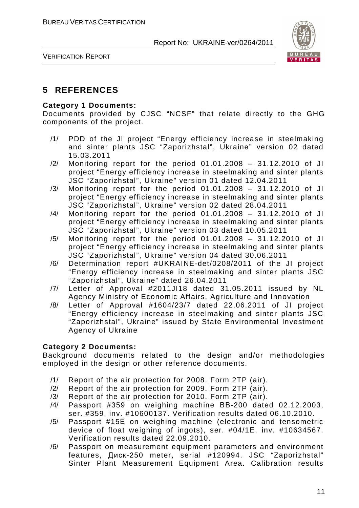

VERIFICATION REPORT

## **5 REFERENCES**

#### **Category 1 Documents:**

Documents provided by CJSC "NCSF" that relate directly to the GHG components of the project.

- /1/ PDD of the JI project "Energy efficiency increase in steelmaking and sinter plants JSC "Zaporizhstal", Ukraine" version 02 dated 15.03.2011
- /2/ Monitoring report for the period 01.01.2008 31.12.2010 of JI project "Energy efficiency increase in steelmaking and sinter plants JSC "Zaporizhstal", Ukraine" version 01 dated 12.04.2011
- /3/ Monitoring report for the period 01.01.2008 31.12.2010 of JI project "Energy efficiency increase in steelmaking and sinter plants JSC "Zaporizhstal", Ukraine" version 02 dated 28.04.2011
- /4/ Monitoring report for the period 01.01.2008 31.12.2010 of JI project "Energy efficiency increase in steelmaking and sinter plants JSC "Zaporizhstal", Ukraine" version 03 dated 10.05.2011
- /5/ Monitoring report for the period 01.01.2008 31.12.2010 of JI project "Energy efficiency increase in steelmaking and sinter plants JSC "Zaporizhstal", Ukraine" version 04 dated 30.06.2011
- /6/ Determination report #UKRAINE-det/0208/2011 of the JI project "Energy efficiency increase in steelmaking and sinter plants JSC "Zaporizhstal", Ukraine" dated 26.04.2011
- /7/ Letter of Approval #2011JI18 dated 31.05.2011 issued by NL Agency Ministry of Economic Affairs, Agriculture and Innovation
- /8/ Letter of Approval #1604/23/7 dated 22.06.2011 of JI project "Energy efficiency increase in steelmaking and sinter plants JSC "Zaporizhstal", Ukraine" issued by State Environmental Investment Agency of Ukraine

### **Category 2 Documents:**

Background documents related to the design and/or methodologies employed in the design or other reference documents.

- /1/ Report of the air protection for 2008. Form 2TP (air).
- /2/ Report of the air protection for 2009. Form 2TP (air).
- /3/ Report of the air protection for 2010. Form 2TP (air).
- /4/ Passport #359 on weighing machine ВВ-200 dated 02.12.2003, ser. #359, inv. #10600137. Verification results dated 06.10.2010.
- /5/ Passport #15Е on weighing machine (electronic and tensometric device of float weighing of ingots), ser. #04/1Е, inv. #10634567. Verification results dated 22.09.2010.
- /6/ Passport on measurement equipment parameters and environment features, Диск-250 meter, serial #120994. JSC "Zaporizhstal" Sinter Plant Measurement Equipment Area. Calibration results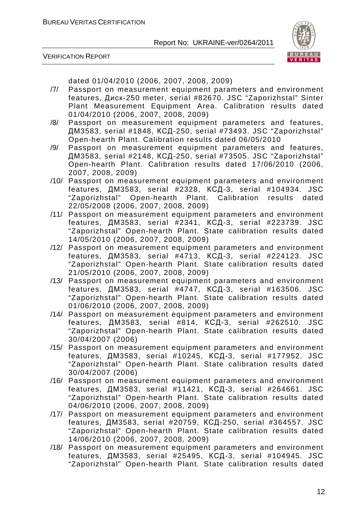



dated 01/04/2010 (2006, 2007, 2008, 2009)

- /7/ Passport on measurement equipment parameters and environment features, Диск-250 meter, serial #82670. JSC "Zaporizhstal" Sinter Plant Measurement Equipment Area. Calibration results dated 01/04/2010 (2006, 2007, 2008, 2009)
- /8/ Passport on measurement equipment parameters and features, ДМ3583, serial #1848, КСД-250, serial #73493. JSC "Zaporizhstal" Open-hearth Plant. Calibration results dated 06/05/2010
- /9/ Passport on measurement equipment parameters and features, ДМ3583, serial #2148, КСД-250, serial #73505. JSC "Zaporizhstal" Open-hearth Plant. Calibration results dated 17/06/2010 (2006, 2007, 2008, 2009)
- /10/ Passport on measurement equipment parameters and environment features, ДМ3583, serial #2328, КСД-3, serial #104934. JSC "Zaporizhstal" Open-hearth Plant. Calibration results dated 22/05/2008 (2006, 2007, 2008, 2009)
- /11/ Passport on measurement equipment parameters and environment features, ДМ3583, serial #2341, КСД-3, serial #223739. JSC "Zaporizhstal" Open-hearth Plant. State calibration results dated 14/05/2010 (2006, 2007, 2008, 2009)
- /12/ Passport on measurement equipment parameters and environment features, ДМ3583, serial #4713, КСД-3, serial #224123. JSC "Zaporizhstal" Open-hearth Plant. State calibration results dated 21/05/2010 (2006, 2007, 2008, 2009)
- /13/ Passport on measurement equipment parameters and environment features, ДМ3583, serial #4747, КСД-3, serial #163506. JSC "Zaporizhstal" Open-hearth Plant. State calibration results dated 01/06/2010 (2006, 2007, 2008, 2009)
- /14/ Passport on measurement equipment parameters and environment features, ДМ3583, serial #814, КСД-3, serial #262510. JSC "Zaporizhstal" Open-hearth Plant. State calibration results dated 30/04/2007 (2006)
- /15/ Passport on measurement equipment parameters and environment features, ДМ3583, serial #10245, КСД-3, serial #177952. JSC "Zaporizhstal" Open-hearth Plant. State calibration results dated 30/04/2007 (2006)
- /16/ Passport on measurement equipment parameters and environment features, ДМ3583, serial #11421, КСД-3, serial #264661. JSC "Zaporizhstal" Open-hearth Plant. State calibration results dated 04/06/2010 (2006, 2007, 2008, 2009)
- /17/ Passport on measurement equipment parameters and environment features, ДМ3583, serial #20759, КСД-250, serial #364557. JSC "Zaporizhstal" Open-hearth Plant. State calibration results dated 14/06/2010 (2006, 2007, 2008, 2009)
- /18/ Passport on measurement equipment parameters and environment features, ДМ3583, serial #25495, КСД-3, serial #104945. JSC "Zaporizhstal" Open-hearth Plant. State calibration results dated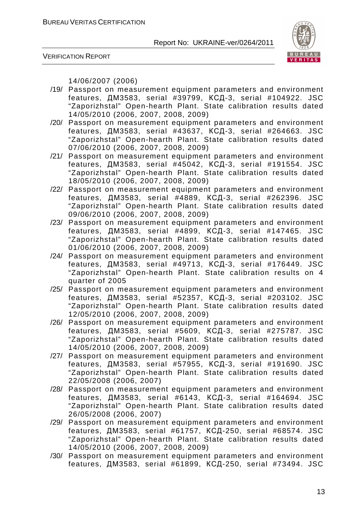

VERIFICATION REPORT

14/06/2007 (2006)

- /19/ Passport on measurement equipment parameters and environment features, ДМ3583, serial #39799, КСД-3, serial #104922. JSC "Zaporizhstal" Open-hearth Plant. State calibration results dated 14/05/2010 (2006, 2007, 2008, 2009)
- /20/ Passport on measurement equipment parameters and environment features, ДМ3583, serial #43637, КСД-3, serial #264663. JSC "Zaporizhstal" Open-hearth Plant. State calibration results dated 07/06/2010 (2006, 2007, 2008, 2009)
- /21/ Passport on measurement equipment parameters and environment features, ДМ3583, serial #45042, КСД-3, serial #191554. JSC "Zaporizhstal" Open-hearth Plant. State calibration results dated 18/05/2010 (2006, 2007, 2008, 2009)
- /22/ Passport on measurement equipment parameters and environment features, ДМ3583, serial #4889, КСД-3, serial #262396. JSC "Zaporizhstal" Open-hearth Plant. State calibration results dated 09/06/2010 (2006, 2007, 2008, 2009)
- /23/ Passport on measurement equipment parameters and environment features, ДМ3583, serial #4899, КСД-3, serial #147465. JSC "Zaporizhstal" Open-hearth Plant. State calibration results dated 01/06/2010 (2006, 2007, 2008, 2009)
- /24/ Passport on measurement equipment parameters and environment features, ДМ3583, serial #49713, КСД-3, serial #176449. JSC "Zaporizhstal" Open-hearth Plant. State calibration results on 4 quarter of 2005
- /25/ Passport on measurement equipment parameters and environment features, ДМ3583, serial #52357, КСД-3, serial #203102. JSC "Zaporizhstal" Open-hearth Plant. State calibration results dated 12/05/2010 (2006, 2007, 2008, 2009)
- /26/ Passport on measurement equipment parameters and environment features, ДМ3583, serial #5609, КСД-3, serial #275787. JSC "Zaporizhstal" Open-hearth Plant. State calibration results dated 14/05/2010 (2006, 2007, 2008, 2009)
- /27/ Passport on measurement equipment parameters and environment features, ДМ3583, serial #57955, КСД-3, serial #191690. JSC "Zaporizhstal" Open-hearth Plant. State calibration results dated 22/05/2008 (2006, 2007)
- /28/ Passport on measurement equipment parameters and environment features, ДМ3583, serial #6143, КСД-3, serial #164694. JSC "Zaporizhstal" Open-hearth Plant. State calibration results dated 26/05/2008 (2006, 2007)
- /29/ Passport on measurement equipment parameters and environment features, ДМ3583, serial #61757, КСД-250, serial #68574. JSC "Zaporizhstal" Open-hearth Plant. State calibration results dated 14/05/2010 (2006, 2007, 2008, 2009)
- /30/ Passport on measurement equipment parameters and environment features, ДМ3583, serial #61899, КСД-250, serial #73494. JSC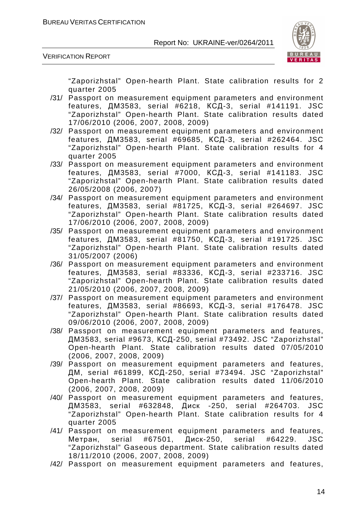

VERIFICATION REPORT

"Zaporizhstal" Open-hearth Plant. State calibration results for 2 quarter 2005

- /31/ Passport on measurement equipment parameters and environment features, ДМ3583, serial #6218, КСД-3, serial #141191. JSC "Zaporizhstal" Open-hearth Plant. State calibration results dated 17/06/2010 (2006, 2007, 2008, 2009)
- /32/ Passport on measurement equipment parameters and environment features, ДМ3583, serial #69685, КСД-3, serial #262464. JSC "Zaporizhstal" Open-hearth Plant. State calibration results for 4 quarter 2005
- /33/ Passport on measurement equipment parameters and environment features, ДМ3583, serial #7000, КСД-3, serial #141183. JSC "Zaporizhstal" Open-hearth Plant. State calibration results dated 26/05/2008 (2006, 2007)
- /34/ Passport on measurement equipment parameters and environment features, ДМ3583, serial #81725, КСД-3, serial #264697. JSC "Zaporizhstal" Open-hearth Plant. State calibration results dated 17/06/2010 (2006, 2007, 2008, 2009)
- /35/ Passport on measurement equipment parameters and environment features, ДМ3583, serial #81750, КСД-3, serial #191725. JSC "Zaporizhstal" Open-hearth Plant. State calibration results dated 31/05/2007 (2006)
- /36/ Passport on measurement equipment parameters and environment features, ДМ3583, serial #83336, КСД-3, serial #233716. JSC "Zaporizhstal" Open-hearth Plant. State calibration results dated 21/05/2010 (2006, 2007, 2008, 2009)
- /37/ Passport on measurement equipment parameters and environment features, ДМ3583, serial #86693, КСД-3, serial #176478. JSC "Zaporizhstal" Open-hearth Plant. State calibration results dated 09/06/2010 (2006, 2007, 2008, 2009)
- /38/ Passport on measurement equipment parameters and features, ДМ3583, serial #9673, КСД-250, serial #73492. JSC "Zaporizhstal" Open-hearth Plant. State calibration results dated 07/05/2010 (2006, 2007, 2008, 2009)
- /39/ Passport on measurement equipment parameters and features, ДМ, serial #61899, КСД-250, serial #73494. JSC "Zaporizhstal" Open-hearth Plant. State calibration results dated 11/06/2010 (2006, 2007, 2008, 2009)
- /40/ Passport on measurement equipment parameters and features, ДМ3583, serial #632848, Диск -250, serial #264703. JSC "Zaporizhstal" Open-hearth Plant. State calibration results for 4 quarter 2005
- /41/ Passport on measurement equipment parameters and features, Метран, serial #67501, Диск-250, serial #64229. JSC "Zaporizhstal" Gaseous department. State calibration results dated 18/11/2010 (2006, 2007, 2008, 2009)
- /42/ Passport on measurement equipment parameters and features,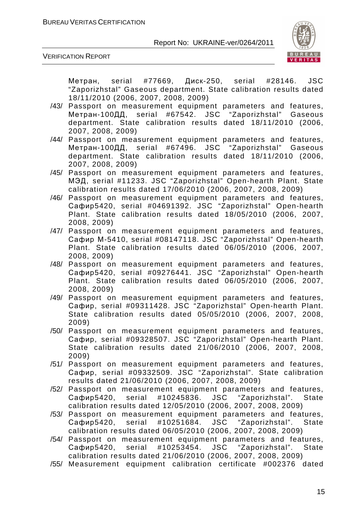

VERIFICATION REPORT

Метран, serial #77669, Диск-250, serial #28146. JSC "Zaporizhstal" Gaseous department. State calibration results dated 18/11/2010 (2006, 2007, 2008, 2009)

- /43/ Passport on measurement equipment parameters and features, Метран-100ДД, serial #67542. JSC "Zaporizhstal" Gaseous department. State calibration results dated 18/11/2010 (2006, 2007, 2008, 2009)
- /44/ Passport on measurement equipment parameters and features, Метран-100ДД, serial #67496. JSC "Zaporizhstal" Gaseous department. State calibration results dated 18/11/2010 (2006, 2007, 2008, 2009)
- /45/ Passport on measurement equipment parameters and features, МЭД, serial #11233. JSC "Zaporizhstal" Open-hearth Plant. State calibration results dated 17/06/2010 (2006, 2007, 2008, 2009)
- /46/ Passport on measurement equipment parameters and features, Сафир5420, serial #04691392. JSC "Zaporizhstal" Open-hearth Plant. State calibration results dated 18/05/2010 (2006, 2007, 2008, 2009)
- /47/ Passport on measurement equipment parameters and features, Сафир М-5410, serial #08147118. JSC "Zaporizhstal" Open-hearth Plant. State calibration results dated 06/05/2010 (2006, 2007, 2008, 2009)
- /48/ Passport on measurement equipment parameters and features, Сафир5420, serial #09276441. JSC "Zaporizhstal" Open-hearth Plant. State calibration results dated 06/05/2010 (2006, 2007, 2008, 2009)
- /49/ Passport on measurement equipment parameters and features, Сафир, serial #09311428. JSC "Zaporizhstal" Open-hearth Plant. State calibration results dated 05/05/2010 (2006, 2007, 2008, 2009)
- /50/ Passport on measurement equipment parameters and features, Сафир, serial #09328507. JSC "Zaporizhstal" Open-hearth Plant. State calibration results dated 21/06/2010 (2006, 2007, 2008, 2009)
- /51/ Passport on measurement equipment parameters and features, Сафир, serial #09332509. JSC "Zaporizhstal". State calibration results dated 21/06/2010 (2006, 2007, 2008, 2009)
- /52/ Passport on measurement equipment parameters and features, Сафир5420, serial #10245836. JSC "Zaporizhstal". State calibration results dated 12/05/2010 (2006, 2007, 2008, 2009)
- /53/ Passport on measurement equipment parameters and features, Сафир5420, serial #10251684. JSC "Zaporizhstal". State calibration results dated 06/05/2010 (2006, 2007, 2008, 2009)
- /54/ Passport on measurement equipment parameters and features, Сафир5420, serial #10253454. JSC "Zaporizhstal". State calibration results dated 21/06/2010 (2006, 2007, 2008, 2009)
- /55/ Measurement equipment calibration certificate #002376 dated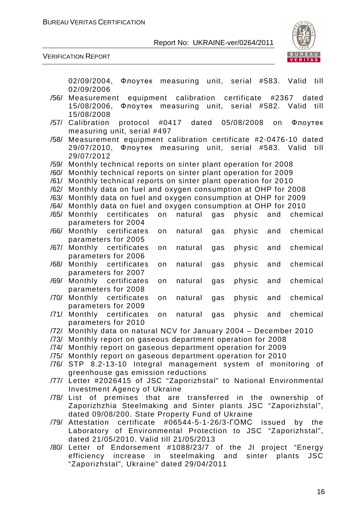

|      | Флоутек measuring unit, serial #583. Valid<br>02/09/2004,<br>till                                |
|------|--------------------------------------------------------------------------------------------------|
|      | 02/09/2006                                                                                       |
| /56/ | equipment calibration certificate<br>#2367<br>Measurement<br>dated                               |
|      | Флоутек measuring unit, serial #582. Valid<br>15/08/2006,<br>till                                |
|      | 15/08/2008                                                                                       |
| /57/ | protocol #0417<br>dated<br>05/08/2008<br>Calibration<br>Флоутек<br>on                            |
|      | measuring unit, serial #497                                                                      |
| /58/ | Measurement equipment calibration certificate #2-0476-10 dated                                   |
|      | 29/07/2010, Флоутек measuring unit, serial<br>#583. Valid<br>till                                |
|      | 29/07/2012                                                                                       |
| /59/ | Monthly technical reports on sinter plant operation for 2008                                     |
| /60/ | Monthly technical reports on sinter plant operation for 2009                                     |
| /61/ | Monthly technical reports on sinter plant operation for 2010                                     |
| /62/ | Monthly data on fuel and oxygen consumption at OHP for 2008                                      |
| /63/ | Monthly data on fuel and oxygen consumption at OHP for 2009                                      |
| /64/ | Monthly data on fuel and oxygen consumption at OHP for 2010                                      |
| /65/ | Monthly certificates<br>natural<br>gas<br>on<br>physic<br>and<br>chemical                        |
|      | parameters for 2004                                                                              |
| /66/ | Monthly certificates<br>chemical<br>natural<br>physic<br>and<br>on<br>gas                        |
|      | parameters for 2005                                                                              |
| /67/ | Monthly certificates<br>chemical<br>physic<br>natural<br>and<br>on<br>gas                        |
|      | parameters for 2006                                                                              |
| /68/ | Monthly certificates<br>chemical<br>natural<br>physic<br>and<br>gas<br>on                        |
|      | parameters for 2007                                                                              |
| /69/ | Monthly certificates<br>chemical<br>natural<br>gas<br>physic<br>and<br>on                        |
|      | parameters for 2008                                                                              |
| /70/ | Monthly certificates<br>chemical<br>natural<br>physic<br>gas<br>and<br>on                        |
| /71/ | parameters for 2009<br>Monthly certificates<br>chemical<br>natural<br>physic<br>and<br>on<br>gas |
|      | parameters for 2010                                                                              |
|      | /72/ Monthly data on natural NCV for January 2004 - December 2010                                |
| /73/ | Monthly report on gaseous department operation for 2008                                          |
| /74/ | Monthly report on gaseous department operation for 2009                                          |
|      | /75/ Monthly report on gaseous department operation for 2010                                     |
|      | /76/ STP 8.2-13-10 Integral management system of monitoring of                                   |
|      | greenhouse gas emission reductions                                                               |
|      | /77/ Letter #2026415 of JSC "Zaporizhstal" to National Environmental                             |
|      | Investment Agency of Ukraine                                                                     |
|      | /78/ List of premises that are transferred in the ownership of                                   |
|      | Zaporizhzhia Steelmaking and Sinter plants JSC "Zaporizhstal",                                   |
|      | dated 09/08/200. State Property Fund of Ukraine                                                  |
| /79/ | Attestation certificate #06544-5-1-26/3-FOMC issued<br>by the                                    |
|      | Laboratory of Environmental Protection to JSC "Zaporizhstal",                                    |
|      | dated 21/05/2010. Valid till 21/05/2013                                                          |
|      | /80/ Letter of Endorsement #1088/23/7 of the JI project "Energy                                  |
|      | efficiency increase in steelmaking and sinter plants<br><b>JSC</b>                               |
|      | "Zaporizhstal", Ukraine" dated 29/04/2011                                                        |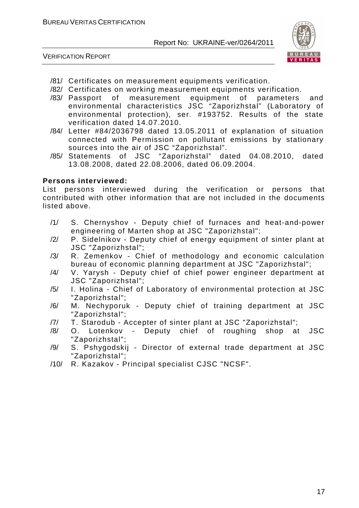



- /81/ Certificates on measurement equipments verification.
- /82/ Certificates on working measurement equipments verification.
- /83/ Passport of measurement equipment of parameters and environmental characteristics JSC "Zaporizhstal" (Laboratory of environmental protection), ser. #193752. Results of the state verification dated 14.07.2010.
- /84/ Letter #84/2036798 dated 13.05.2011 of explanation of situation connected with Permission on pollutant emissions by stationary sources into the air of JSC "Zaporizhstal".
- /85/ Statements of JSC "Zaporizhstal" dated 04.08.2010, dated 13.08.2008, dated 22.08.2006, dated 06.09.2004.

#### **Persons interviewed:**

List persons interviewed during the verification or persons that contributed with other information that are not included in the documents listed above.

- /1/ S. Chernyshov Deputy chief of furnaces and heat-and-power engineering of Marten shop at JSC "Zaporizhstal";
- /2/ P. Sidelnikov Deputy chief of energy equipment of sinter plant at JSC "Zaporizhstal";
- /3/ R. Zemenkov Chief of methodology and economic calculation bureau of economic planning department at JSC "Zaporizhstal";
- /4/ V. Yarysh Deputy chief of chief power engineer department at JSC "Zaporizhstal";
- /5/ I. Holina Chief of Laboratory of environmental protection at JSC "Zaporizhstal";
- /6/ M. Nechyporuk Deputy chief of training department at JSC "Zaporizhstal";
- /7/ T. Starodub Accepter of sinter plant at JSC "Zaporizhstal";
- /8/ O. Lotenkov Deputy chief of roughing shop at JSC "Zaporizhstal";
- /9/ S. Pshygodskij Director of external trade department at JSC "Zaporizhstal";
- /10/ R. Kazakov Principal specialist CJSC "NCSF".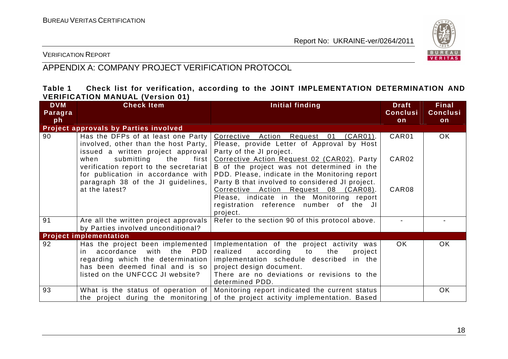

VERIFICATION REPORT

## APPENDIX A: COMPANY PROJECT VERIFICATION PROTOCOL

### **Table 1 Check list for verification, according to the JOINT IMPLEMENTATION DETERMINATION AND VERIFICATION MANUAL (Version 01)**

| <b>DVM</b><br>Paragra | <b>Check Item</b>                                                                                                                                                                          | Initial finding                                                                                                                                                                                                                       | <b>Draft</b><br><b>Conclusi</b> | <b>Final</b><br><b>Conclusi</b> |
|-----------------------|--------------------------------------------------------------------------------------------------------------------------------------------------------------------------------------------|---------------------------------------------------------------------------------------------------------------------------------------------------------------------------------------------------------------------------------------|---------------------------------|---------------------------------|
| ph                    |                                                                                                                                                                                            |                                                                                                                                                                                                                                       | on                              | on                              |
|                       | Project approvals by Parties involved                                                                                                                                                      |                                                                                                                                                                                                                                       |                                 |                                 |
| 90                    | Has the DFPs of at least one Party<br>involved, other than the host Party,<br>issued a written project approval                                                                            | Corrective Action Request 01<br>$(CAR01)$ .<br>Please, provide Letter of Approval by Host<br>Party of the JI project.                                                                                                                 | CAR01                           | OK.                             |
|                       | submitting the<br>when<br>first  <br>verification report to the secretariat  <br>for publication in accordance with                                                                        | Corrective Action Request 02 (CAR02). Party<br>B of the project was not determined in the<br>PDD. Please, indicate in the Monitoring report                                                                                           | CAR02                           |                                 |
|                       | paragraph 38 of the JI guidelines,<br>at the latest?                                                                                                                                       | Party B that involved to considered JI project.<br>Corrective Action Request 08 (CAR08).<br>Please, indicate in the Monitoring report<br>registration reference number of the JI<br>project.                                          | CAR08                           |                                 |
| 91                    | Are all the written project approvals<br>by Parties involved unconditional?                                                                                                                | Refer to the section 90 of this protocol above.                                                                                                                                                                                       |                                 |                                 |
|                       | <b>Project implementation</b>                                                                                                                                                              |                                                                                                                                                                                                                                       |                                 |                                 |
| 92                    | Has the project been implemented<br>with<br><b>PDD</b><br>the<br>in accordance<br>regarding which the determination<br>has been deemed final and is so<br>listed on the UNFCCC JI website? | Implementation of the project activity was<br>realized<br>according<br>to<br>the<br>project<br>implementation schedule described in the<br>project design document.<br>There are no deviations or revisions to the<br>determined PDD. | OK.                             | OK.                             |
| 93                    | What is the status of operation of $ $<br>the project during the monitoring                                                                                                                | Monitoring report indicated the current status<br>of the project activity implementation. Based                                                                                                                                       |                                 | <b>OK</b>                       |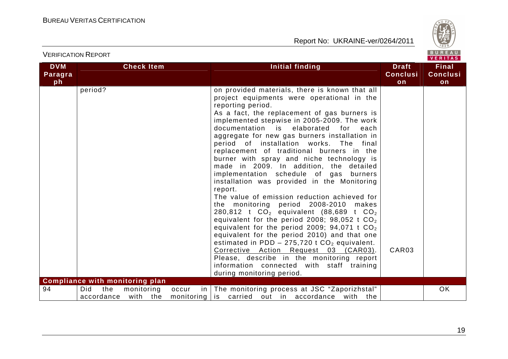

VERITAS

#### **DVM Paragraph Check Item Initial finding Check Item Initial finding Check Item ConclusionFinal Conclusion** period? **but consider the period?** on provided materials, there is known that all project equipments were operational in the reporting period. As a fact, the replacement of gas burners is implemented stepwise in 2005-2009. The work documentation is elaborated for each aggregate for new gas burners installation in period of installation works. The final replacement of traditional burners in the burner with spray and niche technology is made in 2009. In addition, the detailed implementation schedule of gas burners installation was provided in the Monitoring report. The value of emission reduction achieved for the monitoring period 2008-2010 makes 280,812 t  $CO<sub>2</sub>$  equivalent (88,689 t  $CO<sub>2</sub>$ equivalent for the period 2008; 98,052 t CO $_{\rm 2}$ equivalent for the period 2009; 94,071 t CO $_{\rm 2}$  equivalent for the period 2010) and that one estimated in PDD – 275,720 t  $CO<sub>2</sub>$  equivalent. Corrective Action Request 03 (CAR03). Please, describe in the monitoring report information connected with staff training during monitoring period. CAR03 **Compliance with monitoring plan** 94 | Did the monitoring occur  $\overline{\phantom{a}}$  is carried out in accordance with the accordance with the in The monitoring process at JSC "Zaporizhstal" OK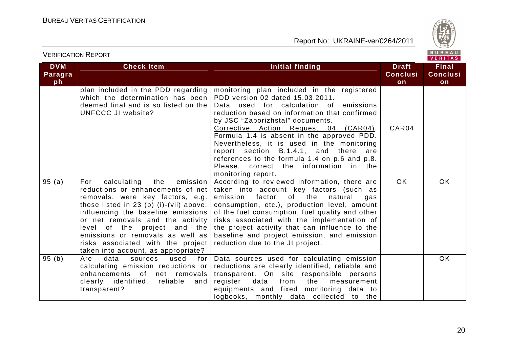

| <b>DVM</b>    | <b>Check Item</b>                                                                                                                                                                                                                                                                                                                                                                   | Initial finding                                                                                                                                                                                                                                                                                                                                                                                                                                                                                              | <b>Draft</b>          | <b>Final</b>          |
|---------------|-------------------------------------------------------------------------------------------------------------------------------------------------------------------------------------------------------------------------------------------------------------------------------------------------------------------------------------------------------------------------------------|--------------------------------------------------------------------------------------------------------------------------------------------------------------------------------------------------------------------------------------------------------------------------------------------------------------------------------------------------------------------------------------------------------------------------------------------------------------------------------------------------------------|-----------------------|-----------------------|
| Paragra<br>ph |                                                                                                                                                                                                                                                                                                                                                                                     |                                                                                                                                                                                                                                                                                                                                                                                                                                                                                                              | <b>Conclusi</b><br>on | <b>Conclusi</b><br>on |
|               | plan included in the PDD regarding<br>which the determination has been<br>deemed final and is so listed on the<br><b>UNFCCC JI website?</b>                                                                                                                                                                                                                                         | monitoring plan included in the registered<br>PDD version 02 dated 15.03.2011.<br>Data used for calculation of emissions<br>reduction based on information that confirmed<br>by JSC "Zaporizhstal" documents.<br>Corrective Action Request 04 (CAR04).<br>Formula 1.4 is absent in the approved PDD.<br>Nevertheless, it is used in the monitoring<br>report section B.1.4.1, and there are<br>references to the formula 1.4 on p.6 and p.8.<br>Please, correct the information in the<br>monitoring report. | CAR04                 |                       |
| 95(a)         | calculating<br>emission<br>the<br>For<br>reductions or enhancements of net<br>removals, were key factors, e.g.<br>those listed in 23 (b) (i)-(vii) above,<br>influencing the baseline emissions<br>or net removals and the activity<br>level of the project and the<br>emissions or removals as well as<br>risks associated with the project<br>taken into account, as appropriate? | According to reviewed information, there are<br>taken into account key factors (such as<br>emission<br>factor<br>of<br>the<br>natural<br>gas<br>consumption, etc.), production level, amount<br>of the fuel consumption, fuel quality and other<br>risks associated with the implementation of<br>the project activity that can influence to the<br>baseline and project emission, and emission<br>reduction due to the JI project.                                                                          | OK.                   | OK.                   |
| 95(b)         | data<br>used<br>Are<br>sources<br>for  <br>calculating emission reductions or<br>enhancements of net removals<br>clearly identified,<br>reliable<br>and<br>transparent?                                                                                                                                                                                                             | Data sources used for calculating emission<br>reductions are clearly identified, reliable and<br>transparent. On site responsible persons<br>data<br>the<br>register<br>from<br>measurement<br>equipments and fixed monitoring data to<br>logbooks, monthly data collected to the                                                                                                                                                                                                                            |                       | OK.                   |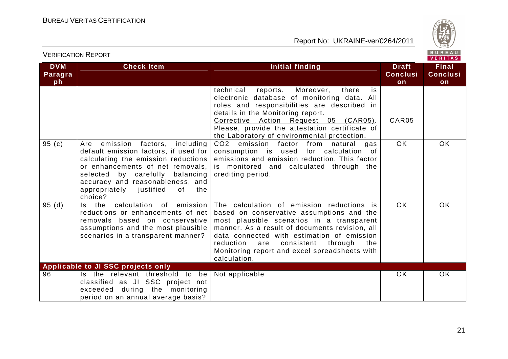

| <b>DVM</b>    | <b>Check Item</b>                                                                                                                                                                                                                                                                | <b>Initial finding</b>                                                                                                                                                                                                                                                                                                                                   | <b>Draft</b>          | <b>Final</b>          |
|---------------|----------------------------------------------------------------------------------------------------------------------------------------------------------------------------------------------------------------------------------------------------------------------------------|----------------------------------------------------------------------------------------------------------------------------------------------------------------------------------------------------------------------------------------------------------------------------------------------------------------------------------------------------------|-----------------------|-----------------------|
| Paragra<br>ph |                                                                                                                                                                                                                                                                                  |                                                                                                                                                                                                                                                                                                                                                          | <b>Conclusi</b><br>on | <b>Conclusi</b><br>on |
|               |                                                                                                                                                                                                                                                                                  | technical<br>Moreover,<br>reports.<br>there<br>is.<br>electronic database of monitoring data. All<br>roles and responsibilities are described in<br>details in the Monitoring report.<br>Corrective Action Request 05 (CAR05).<br>Please, provide the attestation certificate of<br>the Laboratory of environmental protection.                          | CAR05                 |                       |
| 95(c)         | emission factors, including<br>Are<br>default emission factors, if used for<br>calculating the emission reductions<br>or enhancements of net removals,<br>selected by carefully balancing<br>accuracy and reasonableness, and<br>appropriately justified<br>0f<br>the<br>choice? | CO2 emission factor from natural<br>gas<br>consumption is used for calculation of<br>emissions and emission reduction. This factor<br>is monitored and calculated through the<br>crediting period.                                                                                                                                                       | OK.                   | OK.                   |
| 95(d)         | Is the calculation of emission<br>reductions or enhancements of net<br>removals based on conservative<br>assumptions and the most plausible<br>scenarios in a transparent manner?                                                                                                | The calculation of emission reductions is<br>based on conservative assumptions and the<br>most plausible scenarios in a transparent<br>manner. As a result of documents revision, all<br>data connected with estimation of emission<br>reduction<br>consistent<br>through<br>the<br>are<br>Monitoring report and excel spreadsheets with<br>calculation. | OK.                   | OK.                   |
|               | Applicable to JI SSC projects only                                                                                                                                                                                                                                               |                                                                                                                                                                                                                                                                                                                                                          |                       |                       |
| 96            | Is the relevant threshold to be<br>classified as JI SSC project not<br>exceeded during the monitoring<br>period on an annual average basis?                                                                                                                                      | Not applicable                                                                                                                                                                                                                                                                                                                                           | OK.                   | <b>OK</b>             |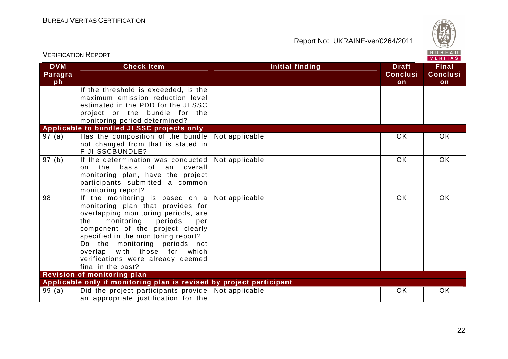

|                             | <b>VERIFICATION REPORT</b>                                                                                                                                                                                                                                                                                                                                  |                        |                                       | BUREAU<br><b>VERITAS</b>              |
|-----------------------------|-------------------------------------------------------------------------------------------------------------------------------------------------------------------------------------------------------------------------------------------------------------------------------------------------------------------------------------------------------------|------------------------|---------------------------------------|---------------------------------------|
| <b>DVM</b><br>Paragra<br>ph | <b>Check Item</b>                                                                                                                                                                                                                                                                                                                                           | <b>Initial finding</b> | <b>Draft</b><br><b>Conclusi</b><br>on | <b>Final</b><br><b>Conclusi</b><br>on |
|                             | If the threshold is exceeded, is the<br>maximum emission reduction level<br>estimated in the PDD for the JI SSC<br>project or the bundle for the<br>monitoring period determined?                                                                                                                                                                           |                        |                                       |                                       |
|                             | Applicable to bundled JI SSC projects only                                                                                                                                                                                                                                                                                                                  |                        |                                       |                                       |
| 97 (a)                      | Has the composition of the bundle Not applicable<br>not changed from that is stated in<br>F-JI-SSCBUNDLE?                                                                                                                                                                                                                                                   |                        | OK                                    | <b>OK</b>                             |
| 97(b)                       | If the determination was conducted   Not applicable<br>of an overall<br>on the basis<br>monitoring plan, have the project<br>participants submitted a common<br>monitoring report?                                                                                                                                                                          |                        | <b>OK</b>                             | <b>OK</b>                             |
| 98                          | If the monitoring is based on $a$<br>monitoring plan that provides for<br>overlapping monitoring periods, are<br>the<br>monitoring<br>periods<br>per<br>component of the project clearly<br>specified in the monitoring report?<br>Do the monitoring periods not<br>overlap with those for which<br>verifications were already deemed<br>final in the past? | Not applicable         | <b>OK</b>                             | <b>OK</b>                             |
|                             | <b>Revision of monitoring plan</b>                                                                                                                                                                                                                                                                                                                          |                        |                                       |                                       |
|                             | Applicable only if monitoring plan is revised by project participant                                                                                                                                                                                                                                                                                        |                        |                                       |                                       |
| 99(a)                       | Did the project participants provide   Not applicable<br>an appropriate justification for the                                                                                                                                                                                                                                                               |                        | OK.                                   | <b>OK</b>                             |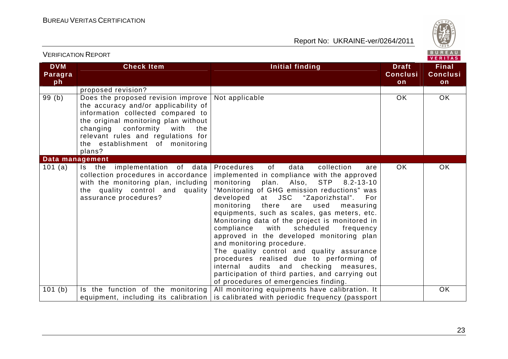VERIFICATION REPORT

Report No: UKRAINE-ver/0264/2011



#### VERITAS **Check Item Initial finding Check Item Initial finding Check Item DVM Final ParagraConclusiConclusiph onon** proposed revision? 99 (b) Does the proposed revision improve Not applicable OK OK the accuracy and/or applicability of information collected compared to the original monitoring plan without changing conformity with the relevant rules and regulations for the establishment of monitoring plans? **Data management** Procedures of data collection are 101 (a)  $|$  Is the implementation of data OK OK collection procedures in accordance implemented in compliance with the approved with the monitoring plan, including monitoring plan. Also, STP 8.2-13-10 the quality control and quality "Monitoring of GHG emission reductions" was assurance procedures? developed at JSC "Zaporizhstal". **For**  monitoring there are used measuring equipments, such as scales, gas meters, etc. Monitoring data of the project is monitored in compliance with scheduled frequency approved in the developed monitoring plan and monitoring procedure. The quality control and quality assurance procedures realised due to performing of internal audits and checking measures, participation of third parties, and carrying out of procedures of emergencies finding. 101 (b) Is the function of the monitoring All monitoring equipments have calibration. It **OK** equipment, including its calibration  $\mid$  is calibrated with periodic frequency (passport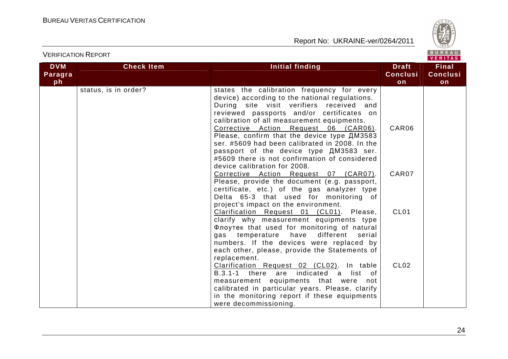

| <b>DVM</b> | <b>Check Item</b>    | Initial finding                                                                                                                                                                                                                                                                                                                                                                                                                                                                                                | <b>Draft</b>     | <b>Final</b>    |
|------------|----------------------|----------------------------------------------------------------------------------------------------------------------------------------------------------------------------------------------------------------------------------------------------------------------------------------------------------------------------------------------------------------------------------------------------------------------------------------------------------------------------------------------------------------|------------------|-----------------|
| Paragra    |                      |                                                                                                                                                                                                                                                                                                                                                                                                                                                                                                                | <b>Conclusi</b>  | <b>Conclusi</b> |
| ph         |                      |                                                                                                                                                                                                                                                                                                                                                                                                                                                                                                                | on               | on              |
|            | status, is in order? | states the calibration frequency for every<br>device) according to the national regulations.<br>During site visit verifiers received and<br>reviewed passports and/or certificates on<br>calibration of all measurement equipments.<br>Corrective Action Request 06 (CAR06).<br>Please, confirm that the device type ДМ3583<br>ser. #5609 had been calibrated in 2008. In the<br>passport of the device type $\mu$ M3583 ser.<br>#5609 there is not confirmation of considered<br>device calibration for 2008. | CAR06            |                 |
|            |                      | Corrective Action Request 07 (CAR07).<br>Please, provide the document (e.g. passport,<br>certificate, etc.) of the gas analyzer type<br>Delta 65-3 that used for monitoring of<br>project's impact on the environment.                                                                                                                                                                                                                                                                                         | CAR07            |                 |
|            |                      | Clarification Request 01 (CL01). Please,<br>clarify why measurement equipments type<br>Флоутек that used for monitoring of natural<br>gas temperature<br>different<br>have<br>serial<br>numbers. If the devices were replaced by<br>each other, please, provide the Statements of<br>replacement.                                                                                                                                                                                                              | CL <sub>01</sub> |                 |
|            |                      | Clarification Request 02 (CL02). In table<br>B.3.1-1 there are indicated a list of<br>measurement equipments that were not<br>calibrated in particular years. Please, clarify<br>in the monitoring report if these equipments<br>were decommissioning.                                                                                                                                                                                                                                                         | CL <sub>02</sub> |                 |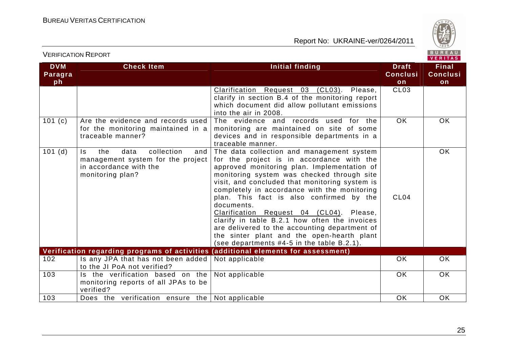103 Does the verification ensure the Not applicable

Report No: UKRAINE-ver/0264/2011

e OK OK OK



**Final** 

VERIFICATION REPORT

**DVM** 

| Paragra<br>ph |                                                                                                                            |                                                                                                                                                                                                                                                                                                                                                                                                                                                                                                                                                                                              | <b>Conclusi</b><br>on | <b>Conclusi</b><br>on |
|---------------|----------------------------------------------------------------------------------------------------------------------------|----------------------------------------------------------------------------------------------------------------------------------------------------------------------------------------------------------------------------------------------------------------------------------------------------------------------------------------------------------------------------------------------------------------------------------------------------------------------------------------------------------------------------------------------------------------------------------------------|-----------------------|-----------------------|
|               |                                                                                                                            | Clarification Request 03 (CL03).<br>Please,<br>clarify in section B.4 of the monitoring report<br>which document did allow pollutant emissions<br>into the air in 2008.                                                                                                                                                                                                                                                                                                                                                                                                                      | CL <sub>03</sub>      |                       |
| 101(c)        | Are the evidence and records used<br>for the monitoring maintained in a<br>traceable manner?                               | The evidence and records used for the<br>monitoring are maintained on site of some<br>devices and in responsible departments in a<br>traceable manner.                                                                                                                                                                                                                                                                                                                                                                                                                                       | OK                    | <b>OK</b>             |
| 101(d)        | collection<br>the<br>data<br>Is.<br>and<br>management system for the project<br>in accordance with the<br>monitoring plan? | The data collection and management system<br>for the project is in accordance with the<br>approved monitoring plan. Implementation of<br>monitoring system was checked through site<br>visit, and concluded that monitoring system is<br>completely in accordance with the monitoring<br>plan. This fact is also confirmed by the<br>documents.<br>Clarification Request 04 (CL04).<br>Please,<br>clarify in table B.2.1 how often the invoices<br>are delivered to the accounting department of<br>the sinter plant and the open-hearth plant<br>(see departments #4-5 in the table B.2.1). | CL <sub>04</sub>      | <b>OK</b>             |
|               | Verification regarding programs of activities                                                                              | (additional elements for assessment)                                                                                                                                                                                                                                                                                                                                                                                                                                                                                                                                                         |                       |                       |
| 102           | Is any JPA that has not been added<br>to the JI PoA not verified?                                                          | Not applicable                                                                                                                                                                                                                                                                                                                                                                                                                                                                                                                                                                               | OK                    | <b>OK</b>             |
| 103           | Is the verification based on the<br>monitoring reports of all JPAs to be<br>verified?                                      | Not applicable                                                                                                                                                                                                                                                                                                                                                                                                                                                                                                                                                                               | <b>OK</b>             | OK                    |

**Check Item Initial finding Check Item Initial finding Check Item Initial finding**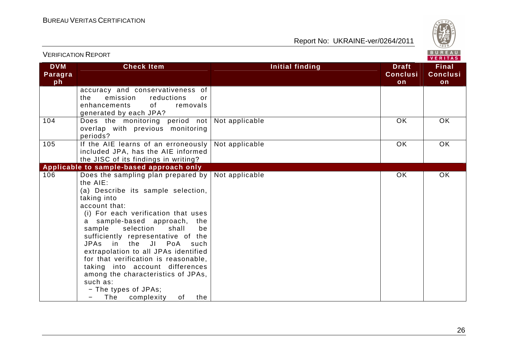

|                             | <b>VERIFICATION REPORT</b>                                                                                                                                                                                                                                                                                                                                                                                                                                                                                                              |                 |                                       | BUREAU<br>VERITAS                     |
|-----------------------------|-----------------------------------------------------------------------------------------------------------------------------------------------------------------------------------------------------------------------------------------------------------------------------------------------------------------------------------------------------------------------------------------------------------------------------------------------------------------------------------------------------------------------------------------|-----------------|---------------------------------------|---------------------------------------|
| <b>DVM</b><br>Paragra<br>ph | <b>Check Item</b>                                                                                                                                                                                                                                                                                                                                                                                                                                                                                                                       | Initial finding | <b>Draft</b><br><b>Conclusi</b><br>on | <b>Final</b><br><b>Conclusi</b><br>on |
|                             | accuracy and conservativeness of<br>emission<br>reductions<br>the.<br>or<br>enhancements<br>of the control<br>removals<br>generated by each JPA?                                                                                                                                                                                                                                                                                                                                                                                        |                 |                                       |                                       |
| 104                         | Does the monitoring period not<br>overlap with previous monitoring<br>periods?                                                                                                                                                                                                                                                                                                                                                                                                                                                          | Not applicable  | <b>OK</b>                             | <b>OK</b>                             |
| 105                         | If the AIE learns of an erroneously<br>included JPA, has the AIE informed<br>the JISC of its findings in writing?                                                                                                                                                                                                                                                                                                                                                                                                                       | Not applicable  | OK                                    | <b>OK</b>                             |
|                             | Applicable to sample-based approach only                                                                                                                                                                                                                                                                                                                                                                                                                                                                                                |                 |                                       |                                       |
| 106                         | Does the sampling plan prepared by<br>the AIE:<br>(a) Describe its sample selection,<br>taking into<br>account that:<br>(i) For each verification that uses<br>a sample-based approach,<br>the<br>selection<br>sample<br>shall<br>be<br>sufficiently representative of the<br>JPAs in the JI PoA<br>such<br>extrapolation to all JPAs identified<br>for that verification is reasonable,<br>taking into account differences<br>among the characteristics of JPAs,<br>such as:<br>- The types of JPAs;<br>The<br>complexity<br>of<br>the | Not applicable  | OK                                    | <b>OK</b>                             |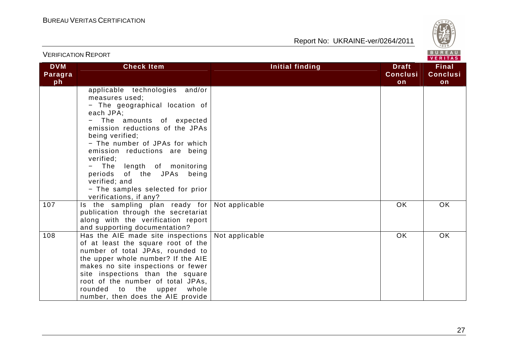

|                             |                                                                                                                                                                                                                                                                                                                                                                                                                |                        | VENIIAS                               |                                       |
|-----------------------------|----------------------------------------------------------------------------------------------------------------------------------------------------------------------------------------------------------------------------------------------------------------------------------------------------------------------------------------------------------------------------------------------------------------|------------------------|---------------------------------------|---------------------------------------|
| <b>DVM</b><br>Paragra<br>ph | <b>Check Item</b>                                                                                                                                                                                                                                                                                                                                                                                              | <b>Initial finding</b> | <b>Draft</b><br><b>Conclusi</b><br>on | <b>Final</b><br><b>Conclusi</b><br>on |
|                             | applicable technologies and/or<br>measures used;<br>- The geographical location of<br>each JPA;<br>The amounts of expected<br>emission reductions of the JPAs<br>being verified;<br>- The number of JPAs for which<br>emission reductions are being<br>verified;<br>length of monitoring<br>The<br>periods of the JPAs<br>being<br>verified; and<br>- The samples selected for prior<br>verifications, if any? |                        |                                       |                                       |
| 107                         | Is the sampling plan ready for<br>publication through the secretariat<br>along with the verification report<br>and supporting documentation?                                                                                                                                                                                                                                                                   | Not applicable         | <b>OK</b>                             | OK                                    |
| 108                         | Has the AIE made site inspections<br>of at least the square root of the<br>number of total JPAs, rounded to<br>the upper whole number? If the AIE<br>makes no site inspections or fewer<br>site inspections than the square<br>root of the number of total JPAs,<br>rounded<br>the upper<br>to<br>whole<br>number, then does the AIE provide                                                                   | Not applicable         | OK                                    | OK                                    |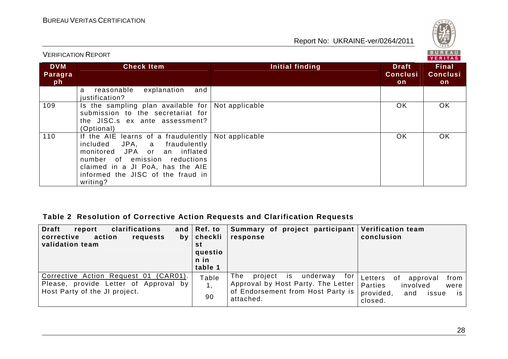VERIFICATION REPORT

Report No: UKRAINE-ver/0264/2011



| <b>DVM</b><br>Paragra<br>ph | <b>Check Item</b>                                                                                                                                                                                                         | Initial finding | <b>Draft</b><br><b>Conclusi</b><br>on | <b>Final</b><br><b>Conclusi</b><br>on |
|-----------------------------|---------------------------------------------------------------------------------------------------------------------------------------------------------------------------------------------------------------------------|-----------------|---------------------------------------|---------------------------------------|
|                             | explanation<br>reasonable<br>and<br>a<br>justification?                                                                                                                                                                   |                 |                                       |                                       |
| 109                         | Is the sampling plan available for<br>submission to the secretariat for<br>the JISC.s ex ante assessment?<br>(Optional)                                                                                                   | Not applicable  | <b>OK</b>                             | OK.                                   |
| 110                         | If the AIE learns of a fraudulently<br>included JPA, a fraudulently<br>monitored JPA or an inflated<br>number of emission reductions<br>claimed in a JI PoA, has the AIE<br>informed the JISC of the fraud in<br>writing? | Not applicable  | <b>OK</b>                             | <b>OK</b>                             |

## **Table 2 Resolution of Corrective Action Requests and Clarification Requests**

| <b>Draft</b><br>clarifications<br>report<br>action<br>corrective<br>requests<br>by <sub>1</sub><br>validation team    | and $ $ Ref. to<br>$ $ checkli<br>st<br>questio | Summary of project participant<br>response                                                                          | <b>Verification team</b><br>conclusion                               |
|-----------------------------------------------------------------------------------------------------------------------|-------------------------------------------------|---------------------------------------------------------------------------------------------------------------------|----------------------------------------------------------------------|
| Corrective Action Request 01<br>$(CAR01)$ .<br>Please, provide Letter of Approval by<br>Host Party of the JI project. | n in<br>table 1<br>Table                        | The<br>project<br>for<br>is.<br>underway<br>Approval by Host Party. The Letter<br>of Endorsement from Host Party is | from 1<br>Letters<br>. of<br>approval<br>Parties<br>involved<br>were |
|                                                                                                                       | 90                                              | attached.                                                                                                           | provided,<br>and<br>issue<br><b>is</b><br>closed.                    |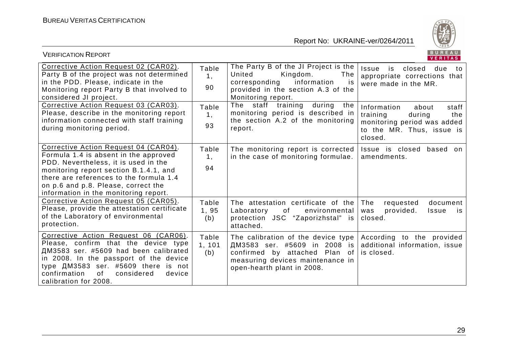

| <b>VERIFICATION REPORT</b>                                                                                                                                                                                                                                                                  |                        |                                                                                                                                                                       | BUREAU<br><b>VERITAS</b>                                                                                                          |
|---------------------------------------------------------------------------------------------------------------------------------------------------------------------------------------------------------------------------------------------------------------------------------------------|------------------------|-----------------------------------------------------------------------------------------------------------------------------------------------------------------------|-----------------------------------------------------------------------------------------------------------------------------------|
| Corrective Action Request 02 (CAR02).<br>Party B of the project was not determined<br>in the PDD. Please, indicate in the<br>Monitoring report Party B that involved to<br>considered JI project.                                                                                           | Table<br>1,<br>90      | The Party B of the JI Project is the<br>The<br>United<br>Kingdom.<br>corresponding<br>information<br>is.<br>provided in the section A.3 of the<br>Monitoring report.  | Issue<br>closed due<br>is<br>to:<br>appropriate corrections that<br>were made in the MR.                                          |
| Corrective Action Request 03 (CAR03).<br>Please, describe in the monitoring report<br>information connected with staff training<br>during monitoring period.                                                                                                                                | Table<br>1,<br>93      | The staff training<br>during<br>the<br>monitoring period is described in<br>the section A.2 of the monitoring<br>report.                                              | Information<br>about<br>staff<br>training<br>the<br>during<br>monitoring period was added<br>to the MR. Thus, issue is<br>closed. |
| Corrective Action Request 04 (CAR04).<br>Formula 1.4 is absent in the approved<br>PDD. Nevertheless, it is used in the<br>monitoring report section B.1.4.1, and<br>there are references to the formula 1.4<br>on p.6 and p.8. Please, correct the<br>information in the monitoring report. | Table<br>1,<br>94      | The monitoring report is corrected<br>in the case of monitoring formulae.                                                                                             | Issue is closed<br>based on<br>amendments.                                                                                        |
| Corrective Action Request 05 (CAR05).<br>Please, provide the attestation certificate<br>of the Laboratory of environmental<br>protection.                                                                                                                                                   | Table<br>1,95<br>(b)   | The attestation certificate of the<br>Laboratory<br>of<br>environmental<br>protection JSC "Zaporizhstal" is<br>attached.                                              | The<br>requested<br>document<br>provided.<br>Issue<br>was<br>is.<br>closed.                                                       |
| Corrective Action Request 06 (CAR06).<br>Please, confirm that the device type<br>ДМ3583 ser. #5609 had been calibrated<br>in 2008. In the passport of the device<br>type ДМ3583 ser. #5609 there is not<br>confirmation<br>0f<br>considered<br>device<br>calibration for 2008.              | Table<br>1, 101<br>(b) | The calibration of the device type<br>ДМ3583 ser. #5609 in 2008 is<br>confirmed by attached Plan of<br>measuring devices maintenance in<br>open-hearth plant in 2008. | According to the provided<br>additional information, issue<br>is closed.                                                          |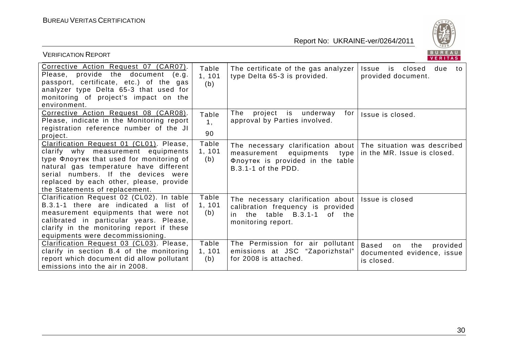

| BUREAU<br><b>VERIFICATION REPORT</b><br>VERITAS                                                                                                                                                                                                                                          |                        |                                                                                                                                                                 |                                                                                   |  |
|------------------------------------------------------------------------------------------------------------------------------------------------------------------------------------------------------------------------------------------------------------------------------------------|------------------------|-----------------------------------------------------------------------------------------------------------------------------------------------------------------|-----------------------------------------------------------------------------------|--|
| Corrective Action Request 07 (CAR07).<br>Please, provide the document<br>(e.g.<br>passport, certificate, etc.) of the gas<br>analyzer type Delta 65-3 that used for<br>monitoring of project's impact on the<br>environment.                                                             | Table<br>1, 101<br>(b) | The certificate of the gas analyzer<br>type Delta 65-3 is provided.                                                                                             | Issue is closed<br>due<br>to<br>provided document.                                |  |
| Corrective Action Request 08 (CAR08).<br>Please, indicate in the Monitoring report<br>registration reference number of the JI<br>project.                                                                                                                                                | Table<br>1,<br>90      | The<br>project is underway<br>for<br>approval by Parties involved.                                                                                              | Issue is closed.                                                                  |  |
| Clarification Request 01 (CL01). Please,<br>clarify why measurement equipments<br>type Флоутек that used for monitoring of<br>natural gas temperature have different<br>serial numbers. If the devices were<br>replaced by each other, please, provide<br>the Statements of replacement. | Table<br>1, 101<br>(b) | The necessary clarification about The situation was described<br>measurement<br>equipments<br>type  <br>Флоутек is provided in the table<br>B.3.1-1 of the PDD. | in the MR. Issue is closed.                                                       |  |
| Clarification Request 02 (CL02). In table<br>B.3.1-1 there are indicated a list of<br>measurement equipments that were not<br>calibrated in particular years. Please,<br>clarify in the monitoring report if these<br>equipments were decommissioning.                                   | Table<br>1, 101<br>(b) | The necessary clarification about   Issue is closed<br>calibration frequency is provided<br>table B.3.1-1<br>of the<br>the<br>in.<br>monitoring report.         |                                                                                   |  |
| Clarification Request 03 (CL03). Please,<br>clarify in section B.4 of the monitoring<br>report which document did allow pollutant<br>emissions into the air in 2008.                                                                                                                     | Table<br>1, 101<br>(b) | The Permission for air pollutant<br>emissions at JSC "Zaporizhstal"<br>for 2008 is attached.                                                                    | <b>Based</b><br>the<br>provided<br>on<br>documented evidence, issue<br>is closed. |  |